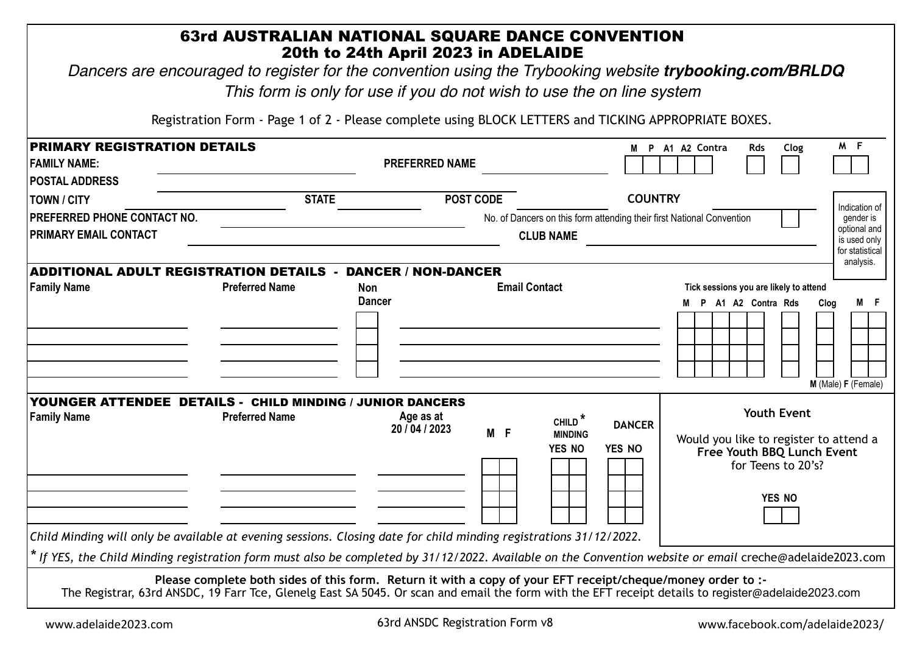|                                                                                                                    | 63rd AUSTRALIAN NATIONAL SQUARE DANCE CONVENTION                                                            | 20th to 24th April 2023 in ADELAIDE<br>This form is only for use if you do not wish to use the on line system |                      |                                                                           | Dancers are encouraged to register for the convention using the Trybooking website trybooking.com/BRLDQ                                                                  |  |  |
|--------------------------------------------------------------------------------------------------------------------|-------------------------------------------------------------------------------------------------------------|---------------------------------------------------------------------------------------------------------------|----------------------|---------------------------------------------------------------------------|--------------------------------------------------------------------------------------------------------------------------------------------------------------------------|--|--|
|                                                                                                                    | Registration Form - Page 1 of 2 - Please complete using BLOCK LETTERS and TICKING APPROPRIATE BOXES.        |                                                                                                               |                      |                                                                           |                                                                                                                                                                          |  |  |
| <b>PRIMARY REGISTRATION DETAILS</b><br><b>FAMILY NAME:</b>                                                         |                                                                                                             | <b>PREFERRED NAME</b>                                                                                         |                      |                                                                           | M F<br>M P A1 A2 Contra<br><b>Rds</b><br>Clog                                                                                                                            |  |  |
| <b>POSTAL ADDRESS</b><br><b>TOWN / CITY</b><br>PREFERRED PHONE CONTACT NO.<br><b>PRIMARY EMAIL CONTACT</b>         | <b>STATE</b>                                                                                                |                                                                                                               | <b>POST CODE</b>     | <b>CLUB NAME</b>                                                          | <b>COUNTRY</b><br>Indication of<br>No. of Dancers on this form attending their first National Convention<br>gender is<br>optional and<br>is used only<br>for statistical |  |  |
| <b>ADDITIONAL ADULT REGISTRATION DETAILS -</b><br><b>Family Name</b>                                               | <b>Preferred Name</b>                                                                                       | <b>DANCER / NON-DANCER</b><br><b>Non</b><br><b>Dancer</b>                                                     | <b>Email Contact</b> |                                                                           | analysis.<br>Tick sessions you are likely to attend<br>M F<br>M P A1 A2 Contra Rds<br>Clog<br>M (Male) F (Female)                                                        |  |  |
| YOUNGER ATTENDEE DETAILS - CHILD MINDING / JUNIOR DANCERS<br><b>Family Name</b>                                    | <b>Preferred Name</b>                                                                                       | Age as at<br>20 / 04 / 2023                                                                                   | M F                  | CHILD <sup>*</sup><br><b>DANCER</b><br><b>MINDING</b><br>YES NO<br>YES NO | <b>Youth Event</b><br>Would you like to register to attend a<br>Free Youth BBQ Lunch Event<br>for Teens to 20's?<br>YES NO                                               |  |  |
| Child Minding will only be available at evening sessions. Closing date for child minding registrations 31/12/2022. |                                                                                                             |                                                                                                               |                      |                                                                           | * If YES, the Child Minding registration form must also be completed by 31/12/2022. Available on the Convention website or email creche@adelaide2023.com                 |  |  |
|                                                                                                                    | Please complete both sides of this form. Return it with a copy of your EFT receipt/cheque/money order to :- |                                                                                                               |                      |                                                                           | The Registrar, 63rd ANSDC, 19 Farr Tce, Glenelg East SA 5045. Or scan and email the form with the EFT receipt details to register@adelaide2023.com                       |  |  |